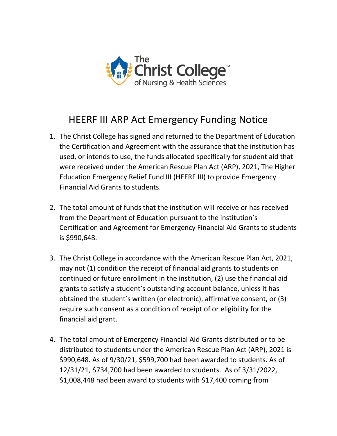

## HEERF III ARP Act Emergency Funding Notice

- 1. The Christ College has signed and returned to the Department of Education the Certification and Agreement with the assurance that the institution has used, or intends to use, the funds allocated specifically for student aid that were received under the American Rescue Plan Act (ARP), 2021, The Higher Education Emergency Relief Fund III (HEERF III) to provide Emergency Financial Aid Grants to students.
- 2. The total amount of funds that the institution will receive or has received from the Department of Education pursuant to the institution's Certification and Agreement for Emergency Financial Aid Grants to students is \$990,648.
- 3. The Christ College in accordance with the American Rescue Plan Act, 2021, may not (1) condition the receipt of financial aid grants to students on continued or future enrollment in the institution, (2) use the financial aid grants to satisfy a student's outstanding account balance, unless it has obtained the student's written (or electronic), affirmative consent, or (3) require such consent as a condition of receipt of or eligibility for the financial aid grant.
- 4. The total amount of Emergency Financial Aid Grants distributed or to be distributed to students under the American Rescue Plan Act (ARP), 2021 is \$990,648. As of 9/30/21, \$599,700 had been awarded to students. As of 12/31/21, \$734,700 had been awarded to students. As of 3/31/2022, \$1,008,448 had been award to students with \$17,400 coming from